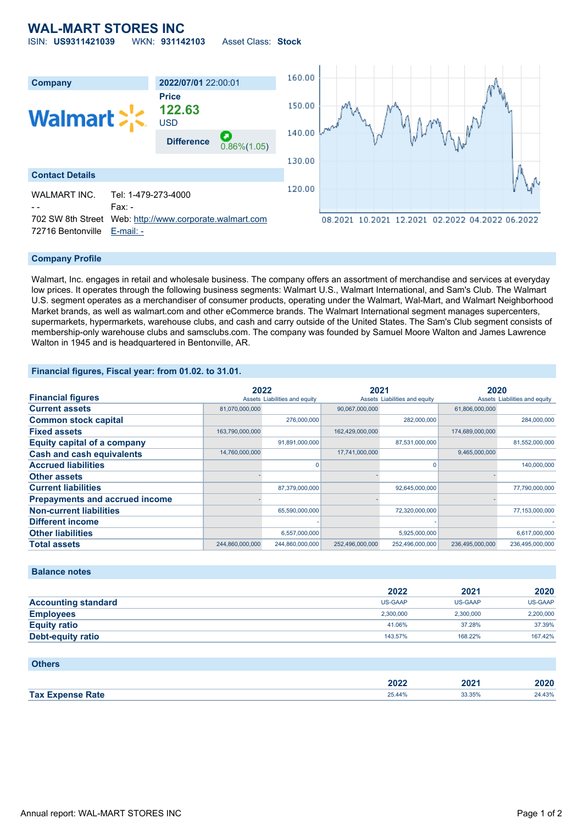## **WAL-MART STORES INC** ISIN: **US9311421039** WKN: **931142103** Asset Class: **Stock**



## **Company Profile**

Walmart, Inc. engages in retail and wholesale business. The company offers an assortment of merchandise and services at everyday low prices. It operates through the following business segments: Walmart U.S., Walmart International, and Sam's Club. The Walmart U.S. segment operates as a merchandiser of consumer products, operating under the Walmart, Wal-Mart, and Walmart Neighborhood Market brands, as well as walmart.com and other eCommerce brands. The Walmart International segment manages supercenters, supermarkets, hypermarkets, warehouse clubs, and cash and carry outside of the United States. The Sam's Club segment consists of membership-only warehouse clubs and samsclubs.com. The company was founded by Samuel Moore Walton and James Lawrence Walton in 1945 and is headquartered in Bentonville, AR.

## **Financial figures, Fiscal year: from 01.02. to 31.01.**

|                                       | 2022            |                               | 2021            |                               | 2020            |                               |
|---------------------------------------|-----------------|-------------------------------|-----------------|-------------------------------|-----------------|-------------------------------|
| <b>Financial figures</b>              |                 | Assets Liabilities and equity |                 | Assets Liabilities and equity |                 | Assets Liabilities and equity |
| <b>Current assets</b>                 | 81,070,000,000  |                               | 90,067,000,000  |                               | 61,806,000,000  |                               |
| <b>Common stock capital</b>           |                 | 276,000,000                   |                 | 282,000,000                   |                 | 284,000,000                   |
| <b>Fixed assets</b>                   | 163,790,000,000 |                               | 162,429,000,000 |                               | 174,689,000,000 |                               |
| <b>Equity capital of a company</b>    |                 | 91,891,000,000                |                 | 87,531,000,000                |                 | 81,552,000,000                |
| <b>Cash and cash equivalents</b>      | 14,760,000,000  |                               | 17,741,000,000  |                               | 9,465,000,000   |                               |
| <b>Accrued liabilities</b>            |                 | 0                             |                 |                               |                 | 140,000,000                   |
| <b>Other assets</b>                   |                 |                               |                 |                               |                 |                               |
| <b>Current liabilities</b>            |                 | 87,379,000,000                |                 | 92,645,000,000                |                 | 77,790,000,000                |
| <b>Prepayments and accrued income</b> |                 |                               |                 |                               |                 |                               |
| <b>Non-current liabilities</b>        |                 | 65,590,000,000                |                 | 72,320,000,000                |                 | 77,153,000,000                |
| Different income                      |                 |                               |                 |                               |                 |                               |
| <b>Other liabilities</b>              |                 | 6,557,000,000                 |                 | 5,925,000,000                 |                 | 6,617,000,000                 |
| <b>Total assets</b>                   | 244,860,000,000 | 244,860,000,000               | 252,496,000,000 | 252,496,000,000               | 236,495,000,000 | 236,495,000,000               |

### **Balance notes**

|                            | 2022      | 2021           | 2020           |
|----------------------------|-----------|----------------|----------------|
| <b>Accounting standard</b> | US-GAAP   | <b>US-GAAP</b> | <b>US-GAAP</b> |
| <b>Employees</b>           | 2.300.000 | 2.300.000      | 2,200,000      |
| <b>Equity ratio</b>        | 41.06%    | 37.28%         | 37.39%         |
| <b>Debt-equity ratio</b>   | 143.57%   | 168.22%        | 167.42%        |

| <b>Others</b>           |        |        |        |
|-------------------------|--------|--------|--------|
|                         | 2022   | 2021   | 2020   |
| <b>Tax Expense Rate</b> | 25.44% | 33.35% | 24.43% |